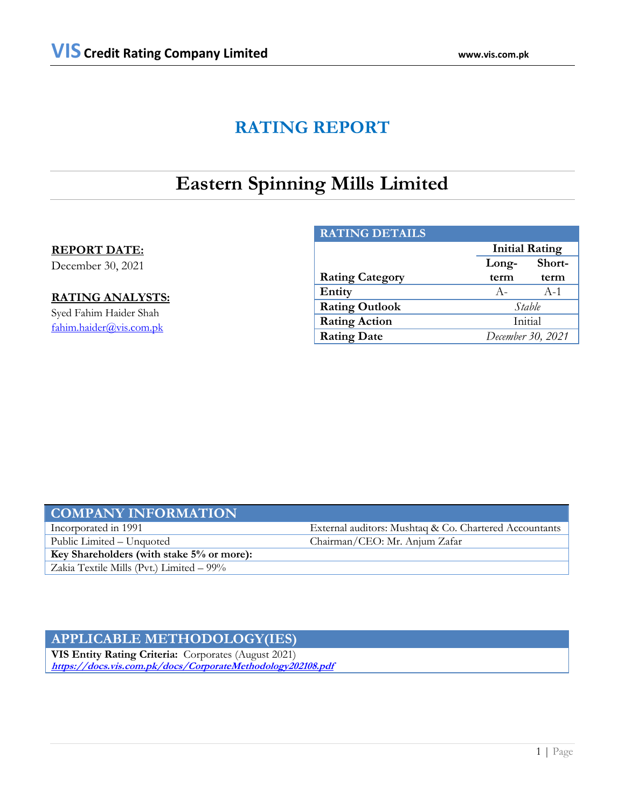# **RATING REPORT**

# **Eastern Spinning Mills Limited**

# **REPORT DATE:**

December 30, 2021

# **RATING ANALYSTS:**

Syed Fahim Haider Shah [fahim.haider@vis.com.pk](mailto:fahim.haider@vis.com.pk)

| <b>RATING DETAILS</b>  |                   |                       |  |  |
|------------------------|-------------------|-----------------------|--|--|
|                        |                   | <b>Initial Rating</b> |  |  |
|                        | Long-             | Short-                |  |  |
| <b>Rating Category</b> | term              | term                  |  |  |
| Entity                 | $A -$             | $A-1$                 |  |  |
| <b>Rating Outlook</b>  | Stable            |                       |  |  |
| <b>Rating Action</b>   | Initial           |                       |  |  |
| <b>Rating Date</b>     | December 30, 2021 |                       |  |  |

# **COMPANY INFORMATION** Incorporated in 1991 External auditors: Mushtaq & Co. Chartered Accountants

**Key Shareholders (with stake 5% or more):**

Zakia Textile Mills (Pvt.) Limited – 99%

Public Limited – Unquoted Chairman/CEO: Mr. Anjum Zafar

# **APPLICABLE METHODOLOGY(IES)**

**VIS Entity Rating Criteria:** Corporates (August 2021) **<https://docs.vis.com.pk/docs/CorporateMethodology202108.pdf>**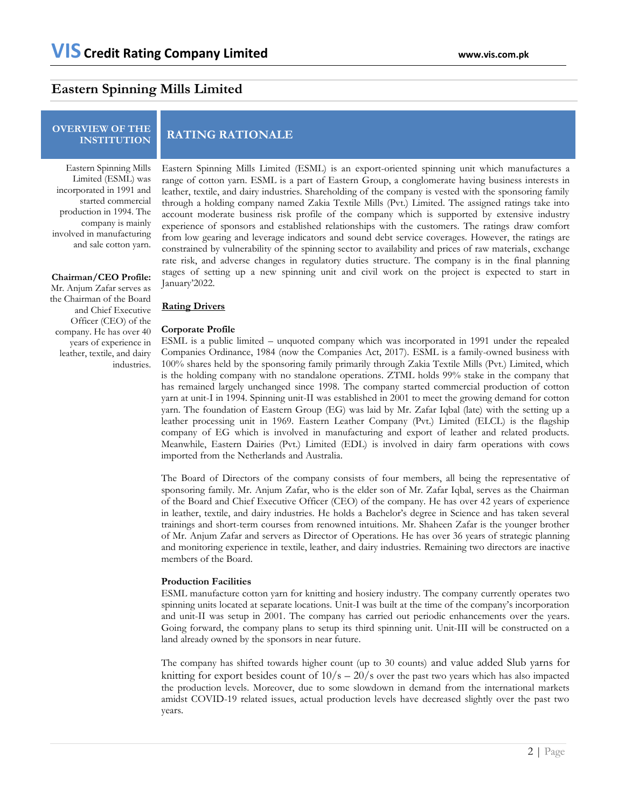# **Eastern Spinning Mills Limited**

# **OVERVIEW OF THE**

# **INSTITUTION RATING RATIONALE**

Eastern Spinning Mills Limited (ESML) was incorporated in 1991 and started commercial production in 1994. The company is mainly involved in manufacturing and sale cotton yarn.

### **Chairman/CEO Profile:**

Mr. Anjum Zafar serves as the Chairman of the Board and Chief Executive Officer (CEO) of the company. He has over 40 years of experience in leather, textile, and dairy industries.

Eastern Spinning Mills Limited (ESML) is an export-oriented spinning unit which manufactures a range of cotton yarn. ESML is a part of Eastern Group, a conglomerate having business interests in leather, textile, and dairy industries. Shareholding of the company is vested with the sponsoring family through a holding company named Zakia Textile Mills (Pvt.) Limited. The assigned ratings take into account moderate business risk profile of the company which is supported by extensive industry experience of sponsors and established relationships with the customers. The ratings draw comfort from low gearing and leverage indicators and sound debt service coverages. However, the ratings are constrained by vulnerability of the spinning sector to availability and prices of raw materials, exchange rate risk, and adverse changes in regulatory duties structure. The company is in the final planning stages of setting up a new spinning unit and civil work on the project is expected to start in January'2022.

### **Rating Drivers**

### **Corporate Profile**

ESML is a public limited – unquoted company which was incorporated in 1991 under the repealed Companies Ordinance, 1984 (now the Companies Act, 2017). ESML is a family-owned business with 100% shares held by the sponsoring family primarily through Zakia Textile Mills (Pvt.) Limited, which is the holding company with no standalone operations. ZTML holds 99% stake in the company that has remained largely unchanged since 1998. The company started commercial production of cotton yarn at unit-I in 1994. Spinning unit-II was established in 2001 to meet the growing demand for cotton yarn. The foundation of Eastern Group (EG) was laid by Mr. Zafar Iqbal (late) with the setting up a leather processing unit in 1969. Eastern Leather Company (Pvt.) Limited (ELCL) is the flagship company of EG which is involved in manufacturing and export of leather and related products. Meanwhile, Eastern Dairies (Pvt.) Limited (EDL) is involved in dairy farm operations with cows imported from the Netherlands and Australia.

The Board of Directors of the company consists of four members, all being the representative of sponsoring family. Mr. Anjum Zafar, who is the elder son of Mr. Zafar Iqbal, serves as the Chairman of the Board and Chief Executive Officer (CEO) of the company. He has over 42 years of experience in leather, textile, and dairy industries. He holds a Bachelor's degree in Science and has taken several trainings and short-term courses from renowned intuitions. Mr. Shaheen Zafar is the younger brother of Mr. Anjum Zafar and servers as Director of Operations. He has over 36 years of strategic planning and monitoring experience in textile, leather, and dairy industries. Remaining two directors are inactive members of the Board.

#### **Production Facilities**

ESML manufacture cotton yarn for knitting and hosiery industry. The company currently operates two spinning units located at separate locations. Unit-I was built at the time of the company's incorporation and unit-II was setup in 2001. The company has carried out periodic enhancements over the years. Going forward, the company plans to setup its third spinning unit. Unit-III will be constructed on a land already owned by the sponsors in near future.

The company has shifted towards higher count (up to 30 counts) and value added Slub yarns for knitting for export besides count of  $10/s - 20/s$  over the past two years which has also impacted the production levels. Moreover, due to some slowdown in demand from the international markets amidst COVID-19 related issues, actual production levels have decreased slightly over the past two years.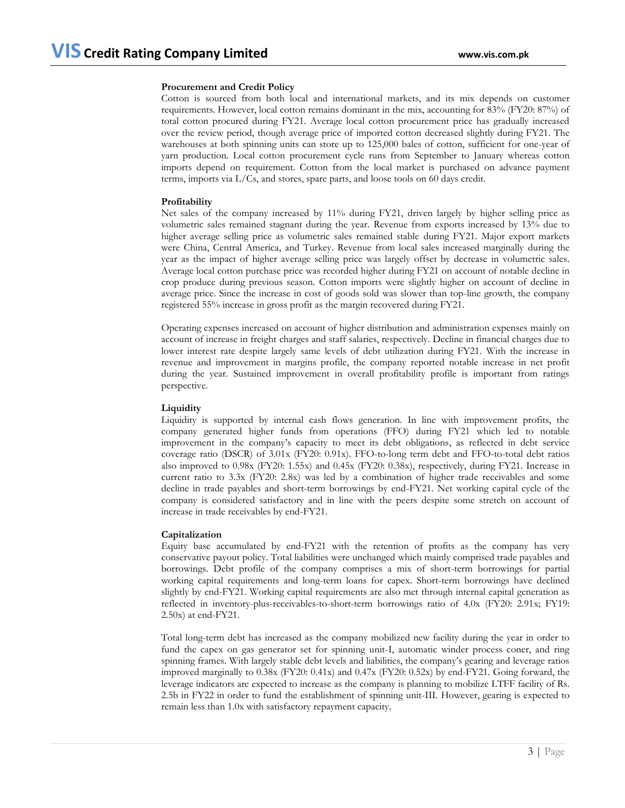## **Procurement and Credit Policy**

Cotton is sourced from both local and international markets, and its mix depends on customer requirements. However, local cotton remains dominant in the mix, accounting for 83% (FY20: 87%) of total cotton procured during FY21. Average local cotton procurement price has gradually increased over the review period, though average price of imported cotton decreased slightly during FY21. The warehouses at both spinning units can store up to 125,000 bales of cotton, sufficient for one-year of yarn production. Local cotton procurement cycle runs from September to January whereas cotton imports depend on requirement. Cotton from the local market is purchased on advance payment terms, imports via L/Cs, and stores, spare parts, and loose tools on 60 days credit.

## **Profitability**

Net sales of the company increased by 11% during FY21, driven largely by higher selling price as volumetric sales remained stagnant during the year. Revenue from exports increased by 13% due to higher average selling price as volumetric sales remained stable during FY21. Major export markets were China, Central America, and Turkey. Revenue from local sales increased marginally during the year as the impact of higher average selling price was largely offset by decrease in volumetric sales. Average local cotton purchase price was recorded higher during FY21 on account of notable decline in crop produce during previous season. Cotton imports were slightly higher on account of decline in average price. Since the increase in cost of goods sold was slower than top-line growth, the company registered 55% increase in gross profit as the margin recovered during FY21.

Operating expenses increased on account of higher distribution and administration expenses mainly on account of increase in freight charges and staff salaries, respectively. Decline in financial charges due to lower interest rate despite largely same levels of debt utilization during FY21. With the increase in revenue and improvement in margins profile, the company reported notable increase in net profit during the year. Sustained improvement in overall profitability profile is important from ratings perspective.

## **Liquidity**

Liquidity is supported by internal cash flows generation. In line with improvement profits, the company generated higher funds from operations (FFO) during FY21 which led to notable improvement in the company's capacity to meet its debt obligations, as reflected in debt service coverage ratio (DSCR) of 3.01x (FY20: 0.91x). FFO-to-long term debt and FFO-to-total debt ratios also improved to 0.98x (FY20: 1.55x) and 0.45x (FY20: 0.38x), respectively, during FY21. Increase in current ratio to 3.3x (FY20: 2.8x) was led by a combination of higher trade receivables and some decline in trade payables and short-term borrowings by end-FY21. Net working capital cycle of the company is considered satisfactory and in line with the peers despite some stretch on account of increase in trade receivables by end-FY21.

## **Capitalization**

Equity base accumulated by end-FY21 with the retention of profits as the company has very conservative payout policy. Total liabilities were unchanged which mainly comprised trade payables and borrowings. Debt profile of the company comprises a mix of short-term borrowings for partial working capital requirements and long-term loans for capex. Short-term borrowings have declined slightly by end-FY21. Working capital requirements are also met through internal capital generation as reflected in inventory-plus-receivables-to-short-term borrowings ratio of 4.0x (FY20: 2.91x; FY19: 2.50x) at end-FY21.

Total long-term debt has increased as the company mobilized new facility during the year in order to fund the capex on gas generator set for spinning unit-I, automatic winder process coner, and ring spinning frames. With largely stable debt levels and liabilities, the company's gearing and leverage ratios improved marginally to 0.38x (FY20: 0.41x) and 0.47x (FY20: 0.52x) by end-FY21. Going forward, the leverage indicators are expected to increase as the company is planning to mobilize LTFF facility of Rs. 2.5b in FY22 in order to fund the establishment of spinning unit-III. However, gearing is expected to remain less than 1.0x with satisfactory repayment capacity.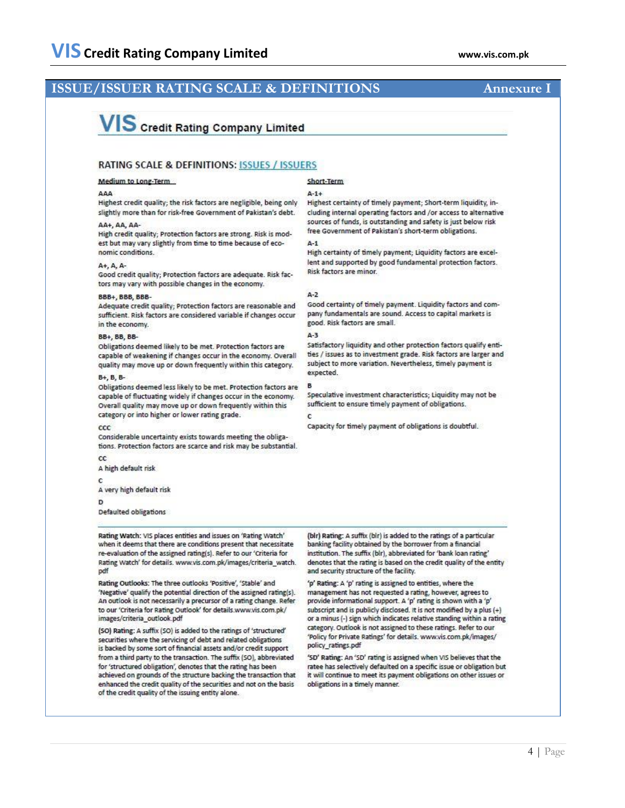# **ISSUE/ISSUER RATING SCALE & DEFINITIONS**

## Annexure I

# VIS Credit Rating Company Limited

## **RATING SCALE & DEFINITIONS: ISSUES / ISSUERS**

#### Medium to Long-Term

#### AAA

Highest credit quality; the risk factors are negligible, being only slightly more than for risk-free Government of Pakistan's debt.

#### AA+, AA, AA-

High credit quality; Protection factors are strong. Risk is modest but may vary slightly from time to time because of economic conditions.

#### A+, A, A-

Good credit quality; Protection factors are adequate. Risk factors may vary with possible changes in the economy.

#### BBB+, BBB, BBB-

Adequate credit quality; Protection factors are reasonable and sufficient. Risk factors are considered variable if changes occur in the economy.

#### **BB+, BB, BB-**

Obligations deemed likely to be met. Protection factors are capable of weakening if changes occur in the economy. Overall quality may move up or down frequently within this category.

#### B+, B, B-

Obligations deemed less likely to be met. Protection factors are capable of fluctuating widely if changes occur in the economy. Overall quality may move up or down frequently within this category or into higher or lower rating grade.

#### $_{\rm ccc}$

Considerable uncertainty exists towards meeting the obligations. Protection factors are scarce and risk may be substantial.

 $_{cc}$ A high default risk

## C

A very high default risk

D

Defaulted obligations

Rating Watch: VIS places entities and issues on 'Rating Watch' when it deems that there are conditions present that necessitate re-evaluation of the assigned rating(s). Refer to our 'Criteria for Rating Watch' for details. www.vis.com.pk/images/criteria\_watch. pdf

Rating Outlooks: The three outlooks 'Positive', 'Stable' and 'Negative' qualify the potential direction of the assigned rating(s). An outlook is not necessarily a precursor of a rating change. Refer to our 'Criteria for Rating Outlook' for details.www.vis.com.pk/ images/criteria\_outlook.pdf

(SO) Rating: A suffix (SO) is added to the ratings of 'structured' securities where the servicing of debt and related obligations is backed by some sort of financial assets and/or credit support from a third party to the transaction. The suffix (SO), abbreviated for 'structured obligation', denotes that the rating has been achieved on grounds of the structure backing the transaction that enhanced the credit quality of the securities and not on the basis of the credit quality of the issuing entity alone.

### Short-Term

#### $A-1+$

Highest certainty of timely payment; Short-term liquidity, including internal operating factors and /or access to alternative sources of funds, is outstanding and safety is just below risk free Government of Pakistan's short-term obligations.

 $A-1$ 

High certainty of timely payment; Liquidity factors are excellent and supported by good fundamental protection factors. Risk factors are minor.

#### $A-2$

Good certainty of timely payment. Liquidity factors and company fundamentals are sound. Access to capital markets is good. Risk factors are small.

#### $\Delta - 3$

B.

c

Satisfactory liquidity and other protection factors qualify entities / issues as to investment grade. Risk factors are larger and subject to more variation. Nevertheless, timely payment is expected.

Speculative investment characteristics; Liquidity may not be sufficient to ensure timely payment of obligations.

Capacity for timely payment of obligations is doubtful.

(bir) Rating: A suffix (bir) is added to the ratings of a particular banking facility obtained by the borrower from a financial institution. The suffix (blr), abbreviated for 'bank loan rating' denotes that the rating is based on the credit quality of the entity and security structure of the facility.

'p' Rating: A 'p' rating is assigned to entities, where the management has not requested a rating, however, agrees to provide informational support. A 'p' rating is shown with a 'p' subscript and is publicly disclosed. It is not modified by a plus (+) or a minus (-) sign which indicates relative standing within a rating category. Outlook is not assigned to these ratings. Refer to our 'Policy for Private Ratings' for details. www.vis.com.pk/images/ policy\_ratings.pdf

'SD' Rating: An 'SD' rating is assigned when VIS believes that the ratee has selectively defaulted on a specific issue or obligation but it will continue to meet its payment obligations on other issues or obligations in a timely manner.